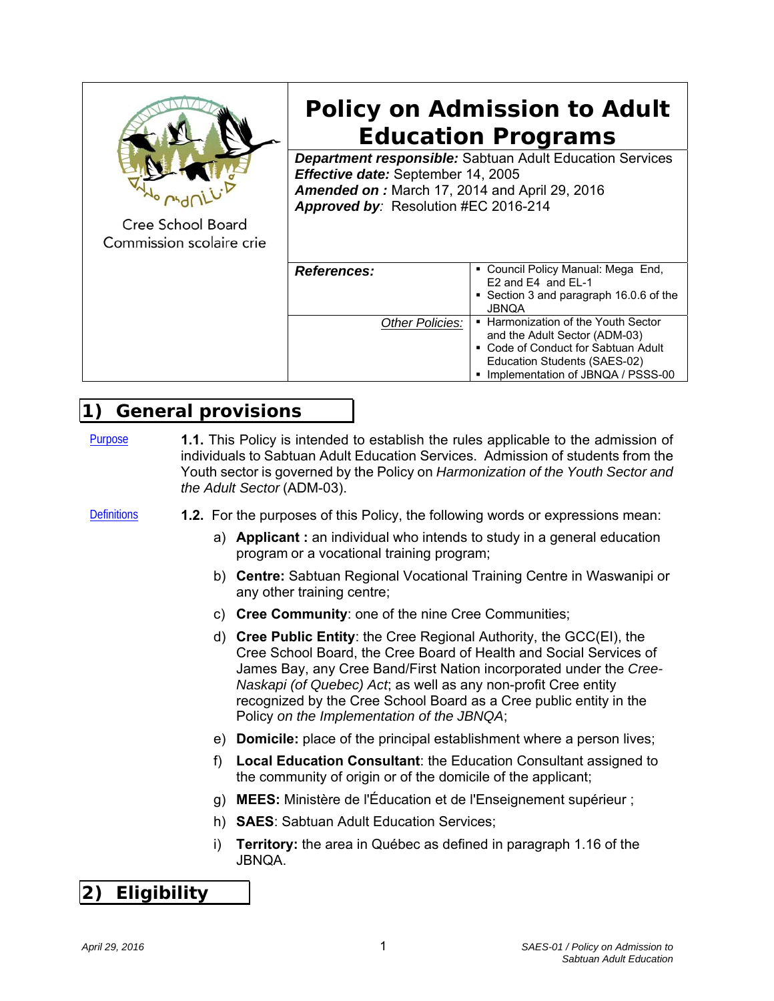

**Policy on Admission to Adult Education Programs** 

*Department responsible:* Sabtuan Adult Education Services *Effective date:* September 14, 2005 *Amended on :* March 17, 2014 and April 29, 2016 *Approved by:* Resolution #EC 2016-214

Cree School Board Commission scolaire crie

| <b>References:</b> | • Council Policy Manual: Mega End,<br>E2 and E4 and EL-1<br>• Section 3 and paragraph 16.0.6 of the<br><b>JBNQA</b>                                                                |
|--------------------|------------------------------------------------------------------------------------------------------------------------------------------------------------------------------------|
| Other Policies:    | ■ Harmonization of the Youth Sector<br>and the Adult Sector (ADM-03)<br>• Code of Conduct for Sabtuan Adult<br>Education Students (SAES-02)<br>• Implementation of JBNQA / PSSS-00 |

# **1) General provisions**

Purpose **1.1.** This Policy is intended to establish the rules applicable to the admission of individuals to Sabtuan Adult Education Services. Admission of students from the Youth sector is governed by the Policy on *Harmonization of the Youth Sector and the Adult Sector* (ADM-03).

- Definitions **1.2.** For the purposes of this Policy, the following words or expressions mean:
	- a) **Applicant :** an individual who intends to study in a general education program or a vocational training program;
	- b) **Centre:** Sabtuan Regional Vocational Training Centre in Waswanipi or any other training centre;
	- c) **Cree Community**: one of the nine Cree Communities;
	- d) **Cree Public Entity**: the Cree Regional Authority, the GCC(EI), the Cree School Board, the Cree Board of Health and Social Services of James Bay, any Cree Band/First Nation incorporated under the *Cree-Naskapi (of Quebec) Act*; as well as any non-profit Cree entity recognized by the Cree School Board as a Cree public entity in the Policy *on the Implementation of the JBNQA*;
	- e) **Domicile:** place of the principal establishment where a person lives;
	- f) **Local Education Consultant**: the Education Consultant assigned to the community of origin or of the domicile of the applicant;
	- g) **MEES:** Ministère de l'Éducation et de l'Enseignement supérieur ;
	- h) **SAES**: Sabtuan Adult Education Services;
	- i) **Territory:** the area in Québec as defined in paragraph 1.16 of the JBNQA.

# **2) Eligibility**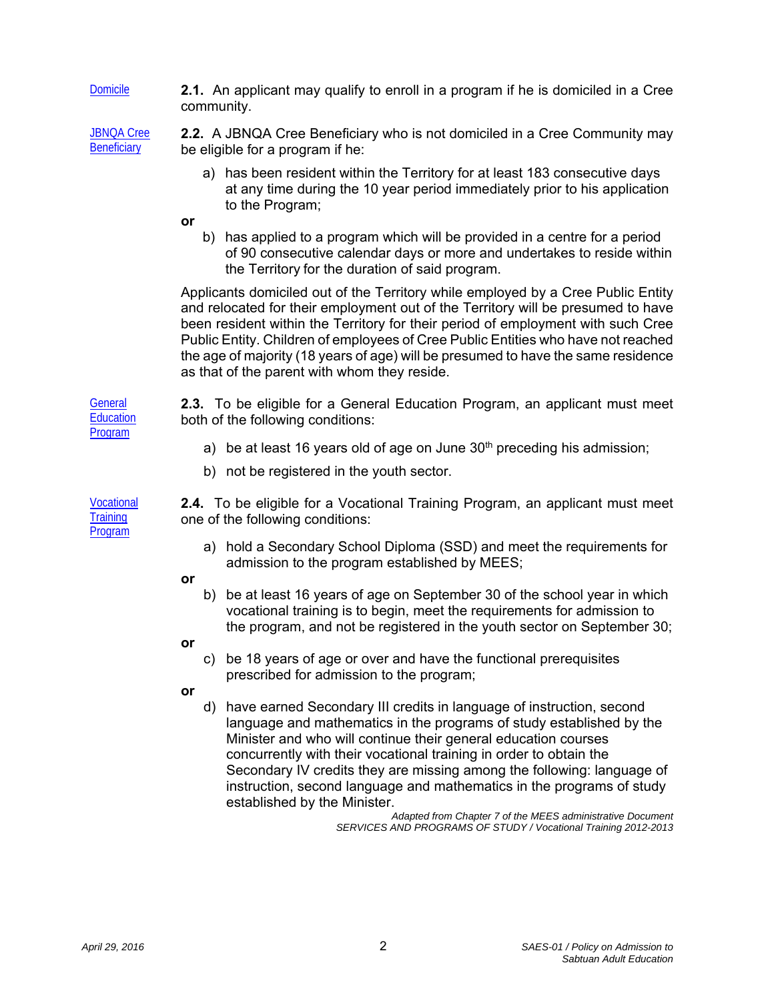Domicile **2.1.** An applicant may qualify to enroll in a program if he is domiciled in a Cree community.

JBNQA Cree **Beneficiary** 

**2.2.** A JBNQA Cree Beneficiary who is not domiciled in a Cree Community may be eligible for a program if he:

- a) has been resident within the Territory for at least 183 consecutive days at any time during the 10 year period immediately prior to his application to the Program;
- **or**
- b) has applied to a program which will be provided in a centre for a period of 90 consecutive calendar days or more and undertakes to reside within the Territory for the duration of said program.

Applicants domiciled out of the Territory while employed by a Cree Public Entity and relocated for their employment out of the Territory will be presumed to have been resident within the Territory for their period of employment with such Cree Public Entity. Children of employees of Cree Public Entities who have not reached the age of majority (18 years of age) will be presumed to have the same residence as that of the parent with whom they reside.

**2.3.** To be eligible for a General Education Program, an applicant must meet both of the following conditions:

- a) be at least 16 years old of age on June  $30<sup>th</sup>$  preceding his admission;
- b) not be registered in the youth sector.

**2.4.** To be eligible for a Vocational Training Program, an applicant must meet one of the following conditions:

a) hold a Secondary School Diploma (SSD) and meet the requirements for admission to the program established by MEES;

### **or**

- b) be at least 16 years of age on September 30 of the school year in which vocational training is to begin, meet the requirements for admission to the program, and not be registered in the youth sector on September 30;
- **or**
- c) be 18 years of age or over and have the functional prerequisites prescribed for admission to the program;

**or**

d) have earned Secondary III credits in language of instruction, second language and mathematics in the programs of study established by the Minister and who will continue their general education courses concurrently with their vocational training in order to obtain the Secondary IV credits they are missing among the following: language of instruction, second language and mathematics in the programs of study established by the Minister.

> *Adapted from Chapter 7 of the MEES administrative Document SERVICES AND PROGRAMS OF STUDY / Vocational Training 2012-2013*

**General Education** Program

**Vocational Training** Program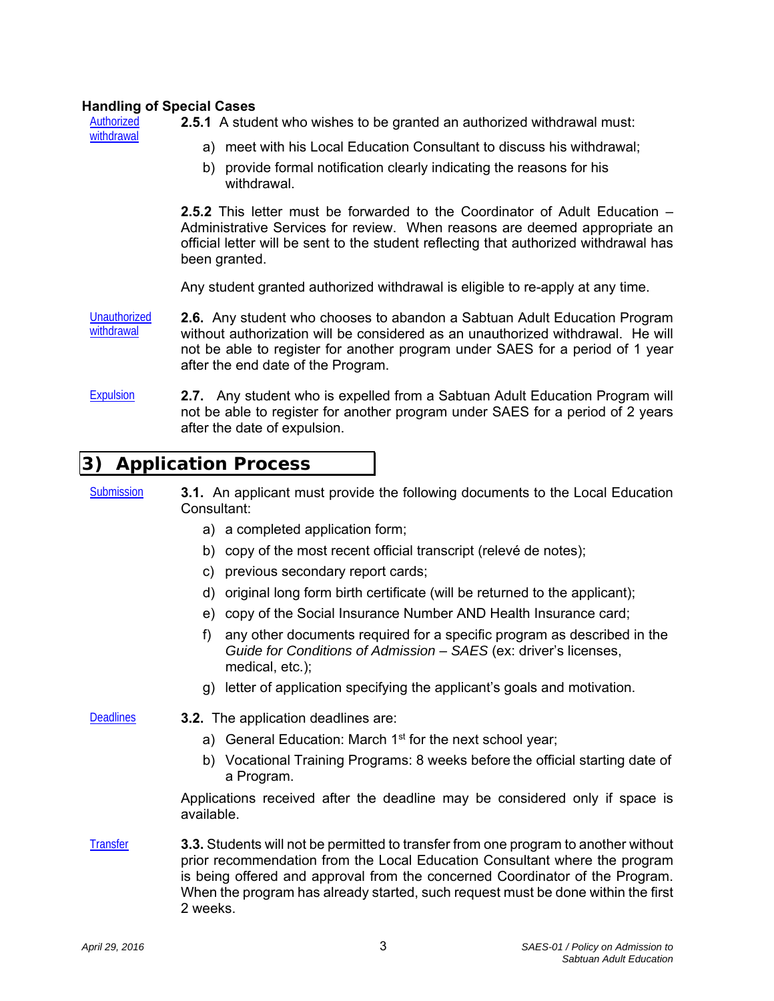#### **Handling of Special Cases**

Authorized withdrawal

- **2.5.1** A student who wishes to be granted an authorized withdrawal must:
	- a) meet with his Local Education Consultant to discuss his withdrawal;
	- b) provide formal notification clearly indicating the reasons for his withdrawal.

**2.5.2** This letter must be forwarded to the Coordinator of Adult Education – Administrative Services for review. When reasons are deemed appropriate an official letter will be sent to the student reflecting that authorized withdrawal has been granted.

Any student granted authorized withdrawal is eligible to re-apply at any time.

- **Unauthorized** withdrawal **2.6.** Any student who chooses to abandon a Sabtuan Adult Education Program without authorization will be considered as an unauthorized withdrawal. He will not be able to register for another program under SAES for a period of 1 year after the end date of the Program.
- Expulsion **2.7.** Any student who is expelled from a Sabtuan Adult Education Program will not be able to register for another program under SAES for a period of 2 years after the date of expulsion.

### **3) Application Process**

- Submission **3.1.** An applicant must provide the following documents to the Local Education Consultant:
	- a) a completed application form;
	- b) copy of the most recent official transcript (relevé de notes);
	- c) previous secondary report cards;
	- d) original long form birth certificate (will be returned to the applicant);
	- e) copy of the Social Insurance Number AND Health Insurance card;
	- f) any other documents required for a specific program as described in the *Guide for Conditions of Admission* – *SAES* (ex: driver's licenses, medical, etc.);
	- g) letter of application specifying the applicant's goals and motivation.
- Deadlines **3.2.** The application deadlines are:
	- a) General Education: March 1<sup>st</sup> for the next school year;
	- b) Vocational Training Programs: 8 weeks before the official starting date of a Program.

Applications received after the deadline may be considered only if space is available.

Transfer **3.3.** Students will not be permitted to transfer from one program to another without prior recommendation from the Local Education Consultant where the program is being offered and approval from the concerned Coordinator of the Program. When the program has already started, such request must be done within the first 2 weeks.